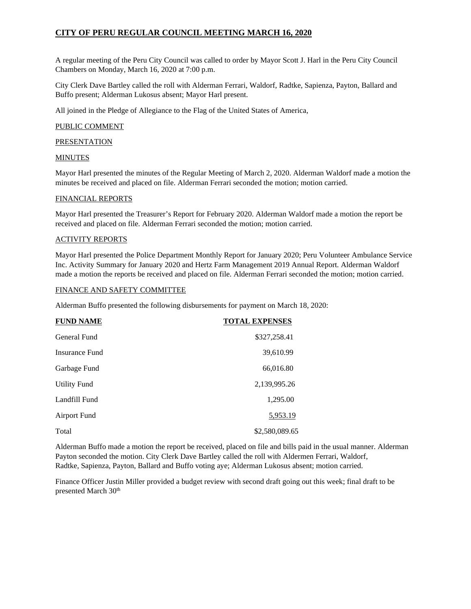A regular meeting of the Peru City Council was called to order by Mayor Scott J. Harl in the Peru City Council Chambers on Monday, March 16, 2020 at 7:00 p.m.

City Clerk Dave Bartley called the roll with Alderman Ferrari, Waldorf, Radtke, Sapienza, Payton, Ballard and Buffo present; Alderman Lukosus absent; Mayor Harl present.

All joined in the Pledge of Allegiance to the Flag of the United States of America,

## PUBLIC COMMENT

**PRESENTATION** 

### MINUTES

Mayor Harl presented the minutes of the Regular Meeting of March 2, 2020. Alderman Waldorf made a motion the minutes be received and placed on file. Alderman Ferrari seconded the motion; motion carried.

### FINANCIAL REPORTS

Mayor Harl presented the Treasurer's Report for February 2020. Alderman Waldorf made a motion the report be received and placed on file. Alderman Ferrari seconded the motion; motion carried.

### ACTIVITY REPORTS

Mayor Harl presented the Police Department Monthly Report for January 2020; Peru Volunteer Ambulance Service Inc. Activity Summary for January 2020 and Hertz Farm Management 2019 Annual Report. Alderman Waldorf made a motion the reports be received and placed on file. Alderman Ferrari seconded the motion; motion carried.

#### FINANCE AND SAFETY COMMITTEE

Alderman Buffo presented the following disbursements for payment on March 18, 2020:

| <b>FUND NAME</b>    | <b>TOTAL EXPENSES</b> |
|---------------------|-----------------------|
| General Fund        | \$327,258.41          |
| Insurance Fund      | 39,610.99             |
| Garbage Fund        | 66,016.80             |
| <b>Utility Fund</b> | 2,139,995.26          |
| Landfill Fund       | 1,295.00              |
| Airport Fund        | 5,953.19              |
| Total               | \$2,580,089.65        |

Alderman Buffo made a motion the report be received, placed on file and bills paid in the usual manner. Alderman Payton seconded the motion. City Clerk Dave Bartley called the roll with Aldermen Ferrari, Waldorf, Radtke, Sapienza, Payton, Ballard and Buffo voting aye; Alderman Lukosus absent; motion carried.

Finance Officer Justin Miller provided a budget review with second draft going out this week; final draft to be presented March 30<sup>th</sup>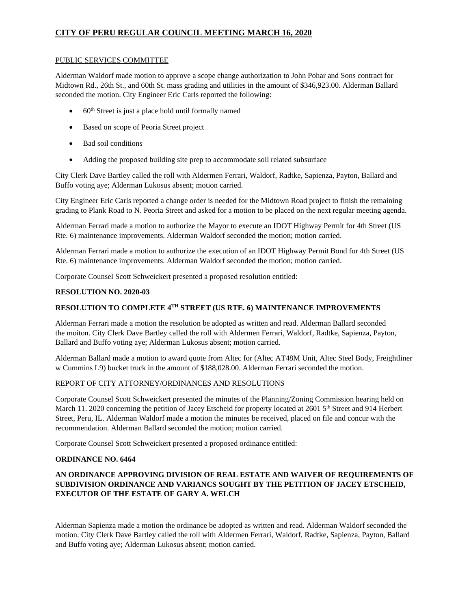### PUBLIC SERVICES COMMITTEE

Alderman Waldorf made motion to approve a scope change authorization to John Pohar and Sons contract for Midtown Rd., 26th St., and 60th St. mass grading and utilities in the amount of \$346,923.00. Alderman Ballard seconded the motion. City Engineer Eric Carls reported the following:

- $60<sup>th</sup>$  Street is just a place hold until formally named
- Based on scope of Peoria Street project
- Bad soil conditions
- Adding the proposed building site prep to accommodate soil related subsurface

City Clerk Dave Bartley called the roll with Aldermen Ferrari, Waldorf, Radtke, Sapienza, Payton, Ballard and Buffo voting aye; Alderman Lukosus absent; motion carried.

City Engineer Eric Carls reported a change order is needed for the Midtown Road project to finish the remaining grading to Plank Road to N. Peoria Street and asked for a motion to be placed on the next regular meeting agenda.

Alderman Ferrari made a motion to authorize the Mayor to execute an IDOT Highway Permit for 4th Street (US Rte. 6) maintenance improvements. Alderman Waldorf seconded the motion; motion carried.

Alderman Ferrari made a motion to authorize the execution of an IDOT Highway Permit Bond for 4th Street (US Rte. 6) maintenance improvements. Alderman Waldorf seconded the motion; motion carried.

Corporate Counsel Scott Schweickert presented a proposed resolution entitled:

## **RESOLUTION NO. 2020-03**

## **RESOLUTION TO COMPLETE 4TH STREET (US RTE. 6) MAINTENANCE IMPROVEMENTS**

Alderman Ferrari made a motion the resolution be adopted as written and read. Alderman Ballard seconded the moiton. City Clerk Dave Bartley called the roll with Aldermen Ferrari, Waldorf, Radtke, Sapienza, Payton, Ballard and Buffo voting aye; Alderman Lukosus absent; motion carried.

Alderman Ballard made a motion to award quote from Altec for (Altec AT48M Unit, Altec Steel Body, Freightliner w Cummins L9) bucket truck in the amount of \$188,028.00. Alderman Ferrari seconded the motion.

## REPORT OF CITY ATTORNEY/ORDINANCES AND RESOLUTIONS

Corporate Counsel Scott Schweickert presented the minutes of the Planning/Zoning Commission hearing held on March 11. 2020 concerning the petition of Jacey Etscheid for property located at 2601 5<sup>th</sup> Street and 914 Herbert Street, Peru, IL. Alderman Waldorf made a motion the minutes be received, placed on file and concur with the recommendation. Alderman Ballard seconded the motion; motion carried.

Corporate Counsel Scott Schweickert presented a proposed ordinance entitled:

## **ORDINANCE NO. 6464**

## **AN ORDINANCE APPROVING DIVISION OF REAL ESTATE AND WAIVER OF REQUIREMENTS OF SUBDIVISION ORDINANCE AND VARIANCS SOUGHT BY THE PETITION OF JACEY ETSCHEID, EXECUTOR OF THE ESTATE OF GARY A. WELCH**

Alderman Sapienza made a motion the ordinance be adopted as written and read. Alderman Waldorf seconded the motion. City Clerk Dave Bartley called the roll with Aldermen Ferrari, Waldorf, Radtke, Sapienza, Payton, Ballard and Buffo voting aye; Alderman Lukosus absent; motion carried.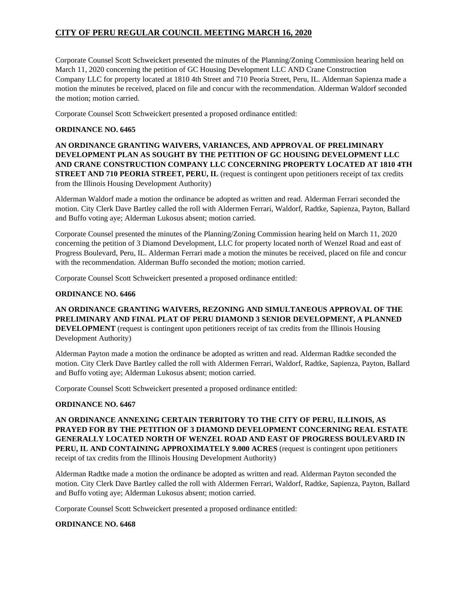Corporate Counsel Scott Schweickert presented the minutes of the Planning/Zoning Commission hearing held on March 11, 2020 concerning the petition of GC Housing Development LLC AND Crane Construction Company LLC for property located at 1810 4th Street and 710 Peoria Street, Peru, IL. Alderman Sapienza made a motion the minutes be received, placed on file and concur with the recommendation. Alderman Waldorf seconded the motion; motion carried.

Corporate Counsel Scott Schweickert presented a proposed ordinance entitled:

## **ORDINANCE NO. 6465**

**AN ORDINANCE GRANTING WAIVERS, VARIANCES, AND APPROVAL OF PRELIMINARY DEVELOPMENT PLAN AS SOUGHT BY THE PETITION OF GC HOUSING DEVELOPMENT LLC AND CRANE CONSTRUCTION COMPANY LLC CONCERNING PROPERTY LOCATED AT 1810 4TH STREET AND 710 PEORIA STREET, PERU, IL** (request is contingent upon petitioners receipt of tax credits from the Illinois Housing Development Authority)

Alderman Waldorf made a motion the ordinance be adopted as written and read. Alderman Ferrari seconded the motion. City Clerk Dave Bartley called the roll with Aldermen Ferrari, Waldorf, Radtke, Sapienza, Payton, Ballard and Buffo voting aye; Alderman Lukosus absent; motion carried.

Corporate Counsel presented the minutes of the Planning/Zoning Commission hearing held on March 11, 2020 concerning the petition of 3 Diamond Development, LLC for property located north of Wenzel Road and east of Progress Boulevard, Peru, IL. Alderman Ferrari made a motion the minutes be received, placed on file and concur with the recommendation. Alderman Buffo seconded the motion; motion carried.

Corporate Counsel Scott Schweickert presented a proposed ordinance entitled:

## **ORDINANCE NO. 6466**

**AN ORDINANCE GRANTING WAIVERS, REZONING AND SIMULTANEOUS APPROVAL OF THE PRELIMINARY AND FINAL PLAT OF PERU DIAMOND 3 SENIOR DEVELOPMENT, A PLANNED DEVELOPMENT** (request is contingent upon petitioners receipt of tax credits from the Illinois Housing Development Authority)

Alderman Payton made a motion the ordinance be adopted as written and read. Alderman Radtke seconded the motion. City Clerk Dave Bartley called the roll with Aldermen Ferrari, Waldorf, Radtke, Sapienza, Payton, Ballard and Buffo voting aye; Alderman Lukosus absent; motion carried.

Corporate Counsel Scott Schweickert presented a proposed ordinance entitled:

## **ORDINANCE NO. 6467**

**AN ORDINANCE ANNEXING CERTAIN TERRITORY TO THE CITY OF PERU, ILLINOIS, AS PRAYED FOR BY THE PETITION OF 3 DIAMOND DEVELOPMENT CONCERNING REAL ESTATE GENERALLY LOCATED NORTH OF WENZEL ROAD AND EAST OF PROGRESS BOULEVARD IN PERU, IL AND CONTAINING APPROXIMATELY 9.000 ACRES** (request is contingent upon petitioners receipt of tax credits from the Illinois Housing Development Authority)

Alderman Radtke made a motion the ordinance be adopted as written and read. Alderman Payton seconded the motion. City Clerk Dave Bartley called the roll with Aldermen Ferrari, Waldorf, Radtke, Sapienza, Payton, Ballard and Buffo voting aye; Alderman Lukosus absent; motion carried.

Corporate Counsel Scott Schweickert presented a proposed ordinance entitled:

## **ORDINANCE NO. 6468**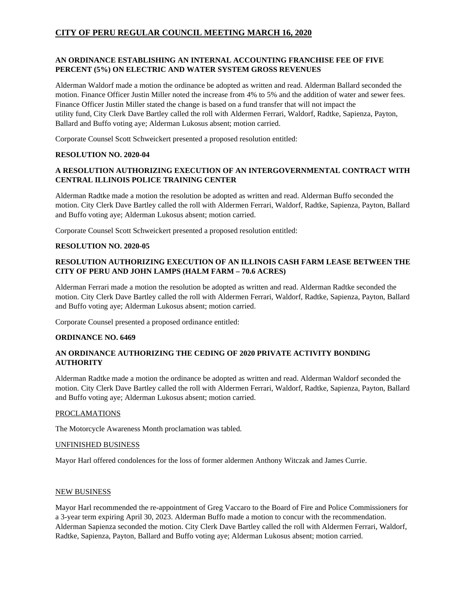## **AN ORDINANCE ESTABLISHING AN INTERNAL ACCOUNTING FRANCHISE FEE OF FIVE PERCENT (5%) ON ELECTRIC AND WATER SYSTEM GROSS REVENUES**

Alderman Waldorf made a motion the ordinance be adopted as written and read. Alderman Ballard seconded the motion. Finance Officer Justin Miller noted the increase from 4% to 5% and the addition of water and sewer fees. Finance Officer Justin Miller stated the change is based on a fund transfer that will not impact the utility fund, City Clerk Dave Bartley called the roll with Aldermen Ferrari, Waldorf, Radtke, Sapienza, Payton, Ballard and Buffo voting aye; Alderman Lukosus absent; motion carried.

Corporate Counsel Scott Schweickert presented a proposed resolution entitled:

## **RESOLUTION NO. 2020-04**

## **A RESOLUTION AUTHORIZING EXECUTION OF AN INTERGOVERNMENTAL CONTRACT WITH CENTRAL ILLINOIS POLICE TRAINING CENTER**

Alderman Radtke made a motion the resolution be adopted as written and read. Alderman Buffo seconded the motion. City Clerk Dave Bartley called the roll with Aldermen Ferrari, Waldorf, Radtke, Sapienza, Payton, Ballard and Buffo voting aye; Alderman Lukosus absent; motion carried.

Corporate Counsel Scott Schweickert presented a proposed resolution entitled:

## **RESOLUTION NO. 2020-05**

## **RESOLUTION AUTHORIZING EXECUTION OF AN ILLINOIS CASH FARM LEASE BETWEEN THE CITY OF PERU AND JOHN LAMPS (HALM FARM – 70.6 ACRES)**

Alderman Ferrari made a motion the resolution be adopted as written and read. Alderman Radtke seconded the motion. City Clerk Dave Bartley called the roll with Aldermen Ferrari, Waldorf, Radtke, Sapienza, Payton, Ballard and Buffo voting aye; Alderman Lukosus absent; motion carried.

Corporate Counsel presented a proposed ordinance entitled:

### **ORDINANCE NO. 6469**

## **AN ORDINANCE AUTHORIZING THE CEDING OF 2020 PRIVATE ACTIVITY BONDING AUTHORITY**

Alderman Radtke made a motion the ordinance be adopted as written and read. Alderman Waldorf seconded the motion. City Clerk Dave Bartley called the roll with Aldermen Ferrari, Waldorf, Radtke, Sapienza, Payton, Ballard and Buffo voting aye; Alderman Lukosus absent; motion carried.

#### PROCLAMATIONS

The Motorcycle Awareness Month proclamation was tabled.

### UNFINISHED BUSINESS

Mayor Harl offered condolences for the loss of former aldermen Anthony Witczak and James Currie.

#### NEW BUSINESS

Mayor Harl recommended the re-appointment of Greg Vaccaro to the Board of Fire and Police Commissioners for a 3-year term expiring April 30, 2023. Alderman Buffo made a motion to concur with the recommendation. Alderman Sapienza seconded the motion. City Clerk Dave Bartley called the roll with Aldermen Ferrari, Waldorf, Radtke, Sapienza, Payton, Ballard and Buffo voting aye; Alderman Lukosus absent; motion carried.